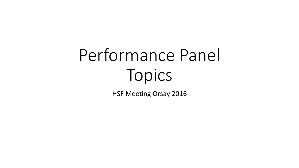# Performance Panel Topics

HSF Meeting Orsay 2016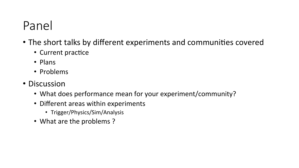### Panel

- The short talks by different experiments and communities covered
	- Current practice
	- Plans
	- Problems
- Discussion
	- What does performance mean for your experiment/community?
	- Different areas within experiments
		- Trigger/Physics/Sim/Analysis
	- What are the problems?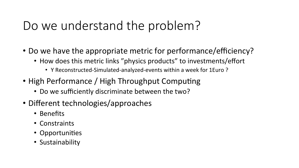### Do we understand the problem?

- Do we have the appropriate metric for performance/efficiency?
	- How does this metric links "physics products" to investments/effort
		- Y Reconstructed-Simulated-analyzed-events within a week for 1Euro?
- High Performance / High Throughput Computing
	- Do we sufficiently discriminate between the two?
- Different technologies/approaches
	- Benefits
	- Constraints
	- Opportunities
	- Sustainability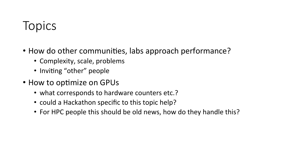### **Topics**

- How do other communities, labs approach performance?
	- Complexity, scale, problems
	- Inviting "other" people
- How to optimize on GPUs
	- what corresponds to hardware counters etc.?
	- could a Hackathon specific to this topic help?
	- For HPC people this should be old news, how do they handle this?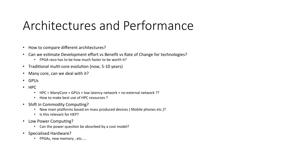### Architectures and Performance

- How to compare different architectures?
- Can we estimate Development effort vs Benefit vs Rate of Change for technologies?
	- FPGA reco has to be how much faster to be worth it?
- Traditional multi-core evolution (now, 5-10 years)
- Many core, can we deal with it?
- GPUs
- HPC
	- HPC = ManyCore + GPUs + low latency network + no external network ??
	- How to make best use of HPC resources ?
- Shift in Commodity Computing?
	- New main platforms based on mass produced devices ( Mobile phones etc.)?
	- Is this relevant for HEP?
- Low Power Computing?
	- Can the power question be absorbed by a cost model?
- Specialised Hardware?
	- FPGAs, new memory, etc.....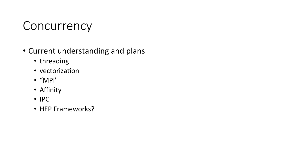### **Concurrency**

- Current understanding and plans
	- threading
	- vectorization
	- "MPI"
	- Affinity
	- IPC
	- HEP Frameworks?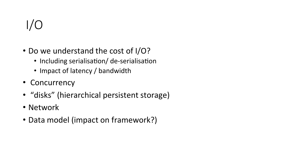# I/O

- Do we understand the cost of I/O?
	- Including serialisation/ de-serialisation
	- Impact of latency / bandwidth
- Concurrency
- "disks" (hierarchical persistent storage)
- Network
- Data model (impact on framework?)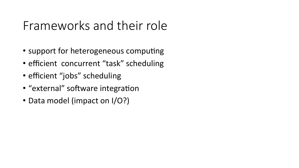### Frameworks and their role

- support for heterogeneous computing
- efficient concurrent "task" scheduling
- efficient "jobs" scheduling
- "external" software integration
- Data model (impact on I/O?)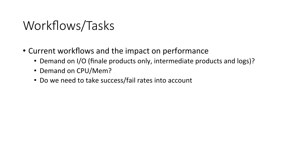### Workflows/Tasks

- Current workflows and the impact on performance
	- Demand on I/O (finale products only, intermediate products and logs)?
	- Demand on CPU/Mem?
	- Do we need to take success/fail rates into account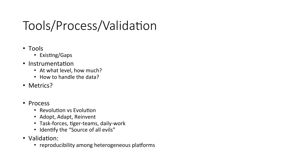## Tools/Process/Validation

- Tools
	- Existing/Gaps
- Instrumentation
	- At what level, how much?
	- How to handle the data?
- Metrics?
- Process
	- Revolution vs Evolution
	- Adopt, Adapt, Reinvent
	- Task-forces, tiger-teams, daily-work
	- Identify the "Source of all evils"
- Validation:
	- reproducibility among heterogeneous platforms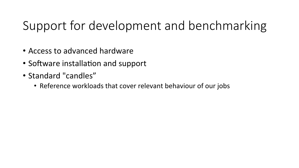### Support for development and benchmarking

- Access to advanced hardware
- Software installation and support
- Standard "candles"
	- Reference workloads that cover relevant behaviour of our jobs